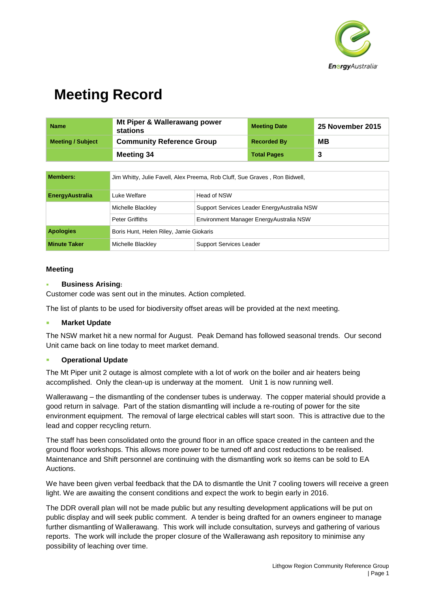

| <b>Name</b>              | Mt Piper & Wallerawang power<br>stations | <b>Meeting Date</b> | <b>25 November 2015</b> |
|--------------------------|------------------------------------------|---------------------|-------------------------|
| <b>Meeting / Subject</b> | <b>Community Reference Group</b>         | <b>Recorded By</b>  | <b>MB</b>               |
|                          | Meeting 34                               | <b>Total Pages</b>  | 3                       |
|                          |                                          |                     |                         |

| <b>Members:</b>        | Jim Whitty, Julie Favell, Alex Preema, Rob Cluff, Sue Graves, Ron Bidwell, |                                              |
|------------------------|----------------------------------------------------------------------------|----------------------------------------------|
| <b>EnergyAustralia</b> | Luke Welfare                                                               | Head of NSW                                  |
|                        | Michelle Blackley                                                          | Support Services Leader Energy Australia NSW |
|                        | Peter Griffiths                                                            | Environment Manager EnergyAustralia NSW      |
| <b>Apologies</b>       | Boris Hunt, Helen Riley, Jamie Giokaris                                    |                                              |
| <b>Minute Taker</b>    | Michelle Blackley                                                          | <b>Support Services Leader</b>               |

### **Meeting**

#### **Business Arising:**

Customer code was sent out in the minutes. Action completed.

The list of plants to be used for biodiversity offset areas will be provided at the next meeting.

#### **Market Update**

The NSW market hit a new normal for August. Peak Demand has followed seasonal trends. Our second Unit came back on line today to meet market demand.

### **Operational Update**

The Mt Piper unit 2 outage is almost complete with a lot of work on the boiler and air heaters being accomplished. Only the clean-up is underway at the moment. Unit 1 is now running well.

Wallerawang – the dismantling of the condenser tubes is underway. The copper material should provide a good return in salvage. Part of the station dismantling will include a re-routing of power for the site environment equipment. The removal of large electrical cables will start soon. This is attractive due to the lead and copper recycling return.

The staff has been consolidated onto the ground floor in an office space created in the canteen and the ground floor workshops. This allows more power to be turned off and cost reductions to be realised. Maintenance and Shift personnel are continuing with the dismantling work so items can be sold to EA Auctions.

We have been given verbal feedback that the DA to dismantle the Unit 7 cooling towers will receive a green light. We are awaiting the consent conditions and expect the work to begin early in 2016.

The DDR overall plan will not be made public but any resulting development applications will be put on public display and will seek public comment. A tender is being drafted for an owners engineer to manage further dismantling of Wallerawang. This work will include consultation, surveys and gathering of various reports. The work will include the proper closure of the Wallerawang ash repository to minimise any possibility of leaching over time.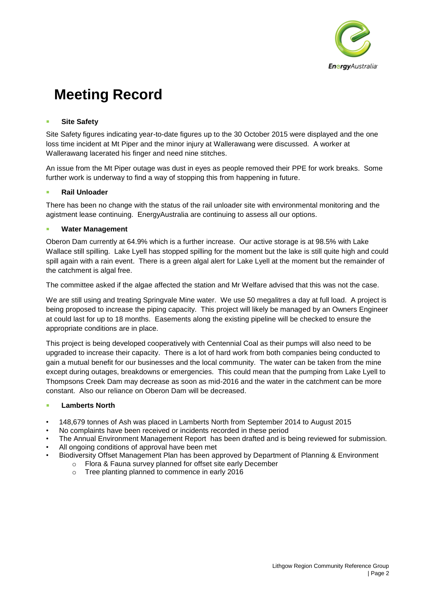

## **Site Safety**

Site Safety figures indicating year-to-date figures up to the 30 October 2015 were displayed and the one loss time incident at Mt Piper and the minor injury at Wallerawang were discussed. A worker at Wallerawang lacerated his finger and need nine stitches.

An issue from the Mt Piper outage was dust in eyes as people removed their PPE for work breaks. Some further work is underway to find a way of stopping this from happening in future.

### **Rail Unloader**

There has been no change with the status of the rail unloader site with environmental monitoring and the agistment lease continuing. EnergyAustralia are continuing to assess all our options.

### **Water Management**

Oberon Dam currently at 64.9% which is a further increase. Our active storage is at 98.5% with Lake Wallace still spilling. Lake Lyell has stopped spilling for the moment but the lake is still quite high and could spill again with a rain event. There is a green algal alert for Lake Lyell at the moment but the remainder of the catchment is algal free.

The committee asked if the algae affected the station and Mr Welfare advised that this was not the case.

We are still using and treating Springvale Mine water. We use 50 megalitres a day at full load. A project is being proposed to increase the piping capacity. This project will likely be managed by an Owners Engineer at could last for up to 18 months. Easements along the existing pipeline will be checked to ensure the appropriate conditions are in place.

This project is being developed cooperatively with Centennial Coal as their pumps will also need to be upgraded to increase their capacity. There is a lot of hard work from both companies being conducted to gain a mutual benefit for our businesses and the local community. The water can be taken from the mine except during outages, breakdowns or emergencies. This could mean that the pumping from Lake Lyell to Thompsons Creek Dam may decrease as soon as mid-2016 and the water in the catchment can be more constant. Also our reliance on Oberon Dam will be decreased.

### **Lamberts North**

- 148,679 tonnes of Ash was placed in Lamberts North from September 2014 to August 2015
- No complaints have been received or incidents recorded in these period
- The Annual Environment Management Report has been drafted and is being reviewed for submission.
- All ongoing conditions of approval have been met
- Biodiversity Offset Management Plan has been approved by Department of Planning & Environment o Flora & Fauna survey planned for offset site early December
	- o Tree planting planned to commence in early 2016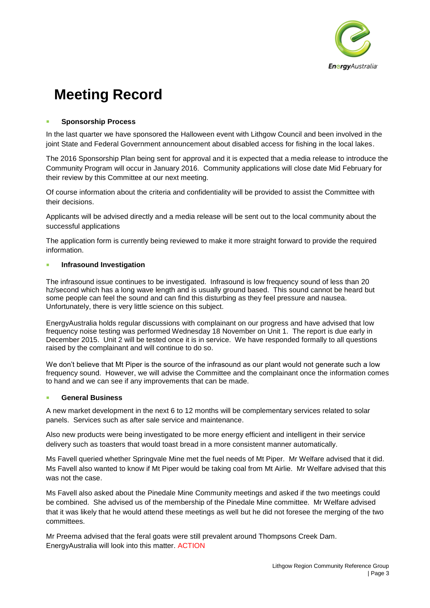

### **Sponsorship Process**

In the last quarter we have sponsored the Halloween event with Lithgow Council and been involved in the joint State and Federal Government announcement about disabled access for fishing in the local lakes.

The 2016 Sponsorship Plan being sent for approval and it is expected that a media release to introduce the Community Program will occur in January 2016. Community applications will close date Mid February for their review by this Committee at our next meeting.

Of course information about the criteria and confidentiality will be provided to assist the Committee with their decisions.

Applicants will be advised directly and a media release will be sent out to the local community about the successful applications

The application form is currently being reviewed to make it more straight forward to provide the required information.

#### **Infrasound Investigation**

The infrasound issue continues to be investigated. Infrasound is low frequency sound of less than 20 hz/second which has a long wave length and is usually ground based. This sound cannot be heard but some people can feel the sound and can find this disturbing as they feel pressure and nausea. Unfortunately, there is very little science on this subject.

EnergyAustralia holds regular discussions with complainant on our progress and have advised that low frequency noise testing was performed Wednesday 18 November on Unit 1. The report is due early in December 2015. Unit 2 will be tested once it is in service. We have responded formally to all questions raised by the complainant and will continue to do so.

We don't believe that Mt Piper is the source of the infrasound as our plant would not generate such a low frequency sound. However, we will advise the Committee and the complainant once the information comes to hand and we can see if any improvements that can be made.

### **General Business**

A new market development in the next 6 to 12 months will be complementary services related to solar panels. Services such as after sale service and maintenance.

Also new products were being investigated to be more energy efficient and intelligent in their service delivery such as toasters that would toast bread in a more consistent manner automatically.

Ms Favell queried whether Springvale Mine met the fuel needs of Mt Piper. Mr Welfare advised that it did. Ms Favell also wanted to know if Mt Piper would be taking coal from Mt Airlie. Mr Welfare advised that this was not the case.

Ms Favell also asked about the Pinedale Mine Community meetings and asked if the two meetings could be combined. She advised us of the membership of the Pinedale Mine committee. Mr Welfare advised that it was likely that he would attend these meetings as well but he did not foresee the merging of the two committees.

Mr Preema advised that the feral goats were still prevalent around Thompsons Creek Dam. EnergyAustralia will look into this matter. ACTION